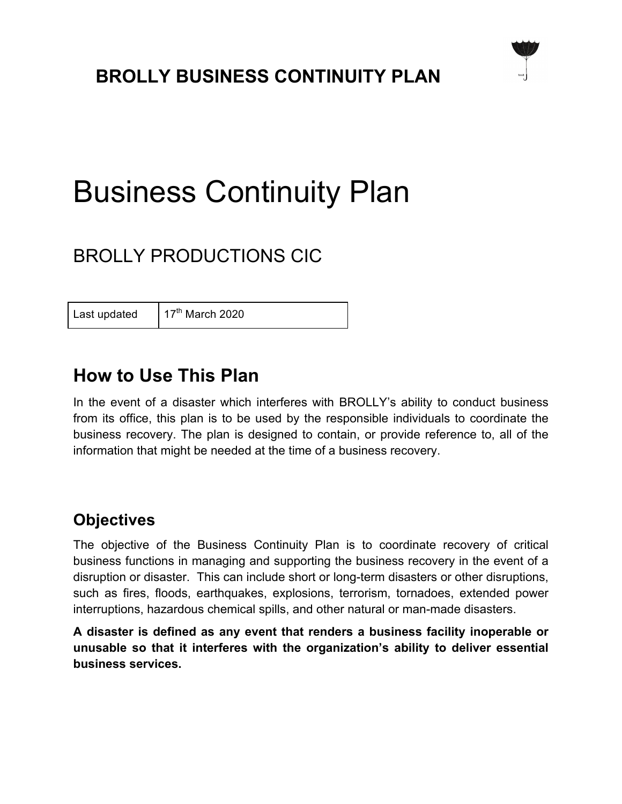# Business Continuity Plan

# BROLLY PRODUCTIONS CIC

Last updated  $17<sup>th</sup>$  March 2020

#### **How to Use This Plan**

In the event of a disaster which interferes with BROLLY's ability to conduct business from its office, this plan is to be used by the responsible individuals to coordinate the business recovery. The plan is designed to contain, or provide reference to, all of the information that might be needed at the time of a business recovery.

#### **Objectives**

The objective of the Business Continuity Plan is to coordinate recovery of critical business functions in managing and supporting the business recovery in the event of a disruption or disaster. This can include short or long-term disasters or other disruptions, such as fires, floods, earthquakes, explosions, terrorism, tornadoes, extended power interruptions, hazardous chemical spills, and other natural or man-made disasters.

**A disaster is defined as any event that renders a business facility inoperable or unusable so that it interferes with the organization's ability to deliver essential business services.**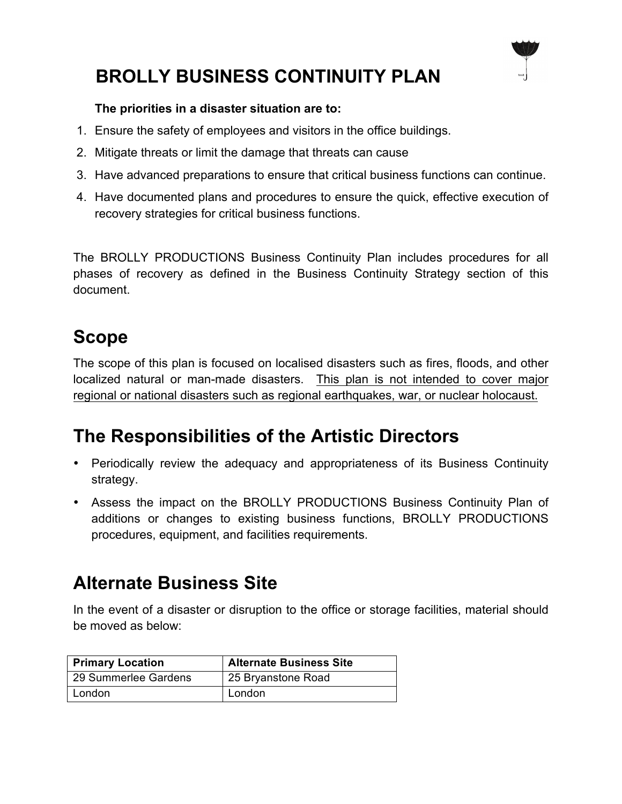

#### **The priorities in a disaster situation are to:**

- 1. Ensure the safety of employees and visitors in the office buildings.
- 2. Mitigate threats or limit the damage that threats can cause
- 3. Have advanced preparations to ensure that critical business functions can continue.
- 4. Have documented plans and procedures to ensure the quick, effective execution of recovery strategies for critical business functions.

The BROLLY PRODUCTIONS Business Continuity Plan includes procedures for all phases of recovery as defined in the Business Continuity Strategy section of this document.

# **Scope**

The scope of this plan is focused on localised disasters such as fires, floods, and other localized natural or man-made disasters. This plan is not intended to cover major regional or national disasters such as regional earthquakes, war, or nuclear holocaust.

### **The Responsibilities of the Artistic Directors**

- Periodically review the adequacy and appropriateness of its Business Continuity strategy.
- Assess the impact on the BROLLY PRODUCTIONS Business Continuity Plan of additions or changes to existing business functions, BROLLY PRODUCTIONS procedures, equipment, and facilities requirements.

# **Alternate Business Site**

In the event of a disaster or disruption to the office or storage facilities, material should be moved as below:

| <b>Primary Location</b> | <b>Alternate Business Site</b> |
|-------------------------|--------------------------------|
| 29 Summerlee Gardens    | 25 Bryanstone Road             |
| London                  | London                         |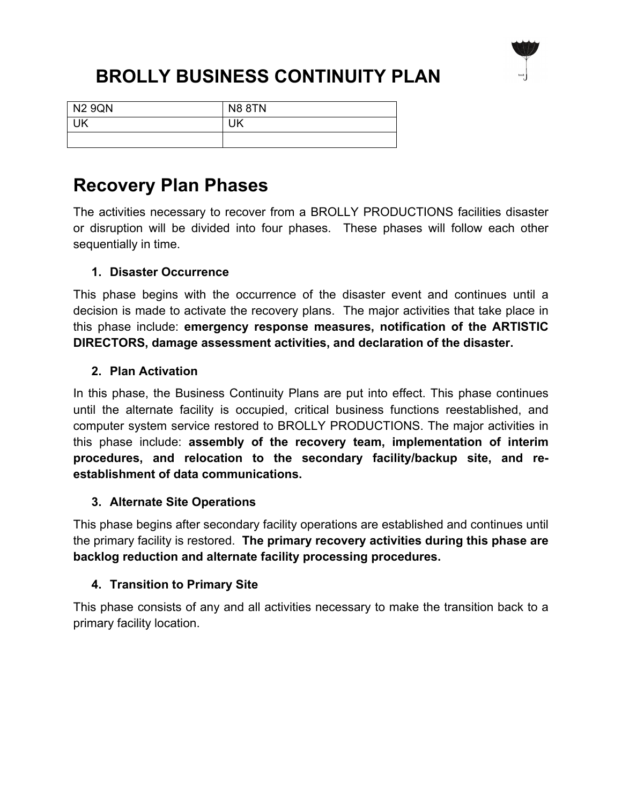

| <b>N2 9QN</b> | <b>N8 8TN</b> |
|---------------|---------------|
| UΚ            | UK            |
|               |               |

### **Recovery Plan Phases**

The activities necessary to recover from a BROLLY PRODUCTIONS facilities disaster or disruption will be divided into four phases. These phases will follow each other sequentially in time.

#### **1. Disaster Occurrence**

This phase begins with the occurrence of the disaster event and continues until a decision is made to activate the recovery plans. The major activities that take place in this phase include: **emergency response measures, notification of the ARTISTIC DIRECTORS, damage assessment activities, and declaration of the disaster.**

#### **2. Plan Activation**

In this phase, the Business Continuity Plans are put into effect. This phase continues until the alternate facility is occupied, critical business functions reestablished, and computer system service restored to BROLLY PRODUCTIONS. The major activities in this phase include: **assembly of the recovery team, implementation of interim procedures, and relocation to the secondary facility/backup site, and reestablishment of data communications.**

#### **3. Alternate Site Operations**

This phase begins after secondary facility operations are established and continues until the primary facility is restored. **The primary recovery activities during this phase are backlog reduction and alternate facility processing procedures.**

#### **4. Transition to Primary Site**

This phase consists of any and all activities necessary to make the transition back to a primary facility location.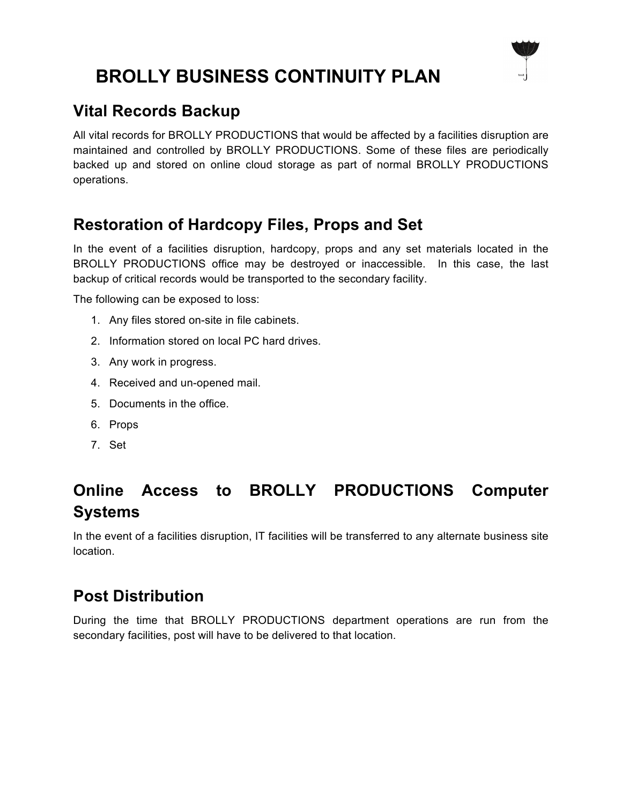

#### **Vital Records Backup**

All vital records for BROLLY PRODUCTIONS that would be affected by a facilities disruption are maintained and controlled by BROLLY PRODUCTIONS. Some of these files are periodically backed up and stored on online cloud storage as part of normal BROLLY PRODUCTIONS operations.

#### **Restoration of Hardcopy Files, Props and Set**

In the event of a facilities disruption, hardcopy, props and any set materials located in the BROLLY PRODUCTIONS office may be destroyed or inaccessible. In this case, the last backup of critical records would be transported to the secondary facility.

The following can be exposed to loss:

- 1. Any files stored on-site in file cabinets.
- 2. Information stored on local PC hard drives.
- 3. Any work in progress.
- 4. Received and un-opened mail.
- 5. Documents in the office.
- 6. Props
- 7. Set

### **Online Access to BROLLY PRODUCTIONS Computer Systems**

In the event of a facilities disruption, IT facilities will be transferred to any alternate business site location.

#### **Post Distribution**

During the time that BROLLY PRODUCTIONS department operations are run from the secondary facilities, post will have to be delivered to that location.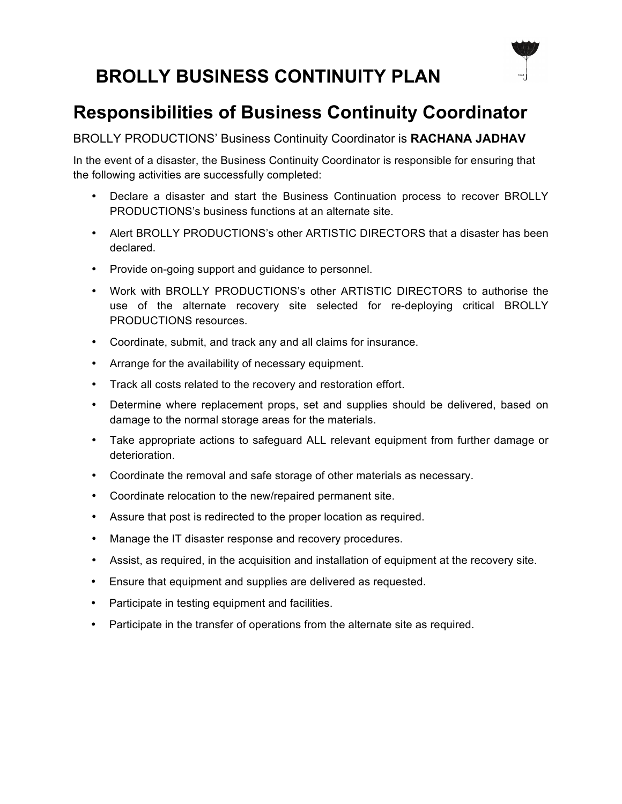# **Responsibilities of Business Continuity Coordinator**

#### BROLLY PRODUCTIONS' Business Continuity Coordinator is **RACHANA JADHAV**

In the event of a disaster, the Business Continuity Coordinator is responsible for ensuring that the following activities are successfully completed:

- Declare a disaster and start the Business Continuation process to recover BROLLY PRODUCTIONS's business functions at an alternate site.
- Alert BROLLY PRODUCTIONS's other ARTISTIC DIRECTORS that a disaster has been declared.
- Provide on-going support and guidance to personnel.
- Work with BROLLY PRODUCTIONS's other ARTISTIC DIRECTORS to authorise the use of the alternate recovery site selected for re-deploying critical BROLLY PRODUCTIONS resources.
- Coordinate, submit, and track any and all claims for insurance.
- Arrange for the availability of necessary equipment.
- Track all costs related to the recovery and restoration effort.
- Determine where replacement props, set and supplies should be delivered, based on damage to the normal storage areas for the materials.
- Take appropriate actions to safeguard ALL relevant equipment from further damage or deterioration.
- Coordinate the removal and safe storage of other materials as necessary.
- Coordinate relocation to the new/repaired permanent site.
- Assure that post is redirected to the proper location as required.
- Manage the IT disaster response and recovery procedures.
- Assist, as required, in the acquisition and installation of equipment at the recovery site.
- Ensure that equipment and supplies are delivered as requested.
- Participate in testing equipment and facilities.
- Participate in the transfer of operations from the alternate site as required.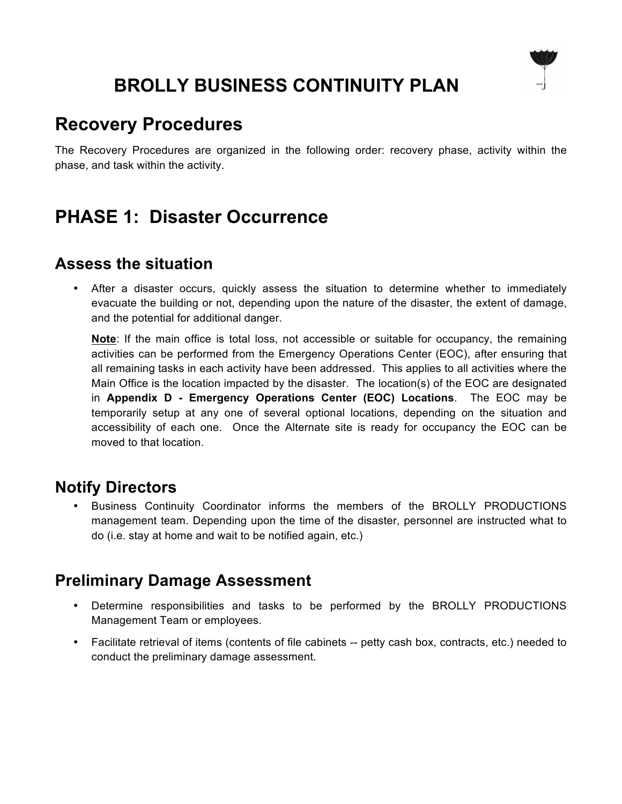### **Recovery Procedures**

The Recovery Procedures are organized in the following order: recovery phase, activity within the phase, and task within the activity.

### **PHASE 1: Disaster Occurrence**

#### **Assess the situation**

After a disaster occurs, quickly assess the situation to determine whether to immediately evacuate the building or not, depending upon the nature of the disaster, the extent of damage, and the potential for additional danger.

**Note**: If the main office is total loss, not accessible or suitable for occupancy, the remaining activities can be performed from the Emergency Operations Center (EOC), after ensuring that all remaining tasks in each activity have been addressed. This applies to all activities where the Main Office is the location impacted by the disaster. The location(s) of the EOC are designated in **Appendix D - Emergency Operations Center (EOC) Locations**. The EOC may be temporarily setup at any one of several optional locations, depending on the situation and accessibility of each one. Once the Alternate site is ready for occupancy the EOC can be moved to that location.

#### **Notify Directors**

• Business Continuity Coordinator informs the members of the BROLLY PRODUCTIONS management team. Depending upon the time of the disaster, personnel are instructed what to do (i.e. stay at home and wait to be notified again, etc.)

#### **Preliminary Damage Assessment**

- Determine responsibilities and tasks to be performed by the BROLLY PRODUCTIONS Management Team or employees.
- Facilitate retrieval of items (contents of file cabinets -- petty cash box, contracts, etc.) needed to conduct the preliminary damage assessment.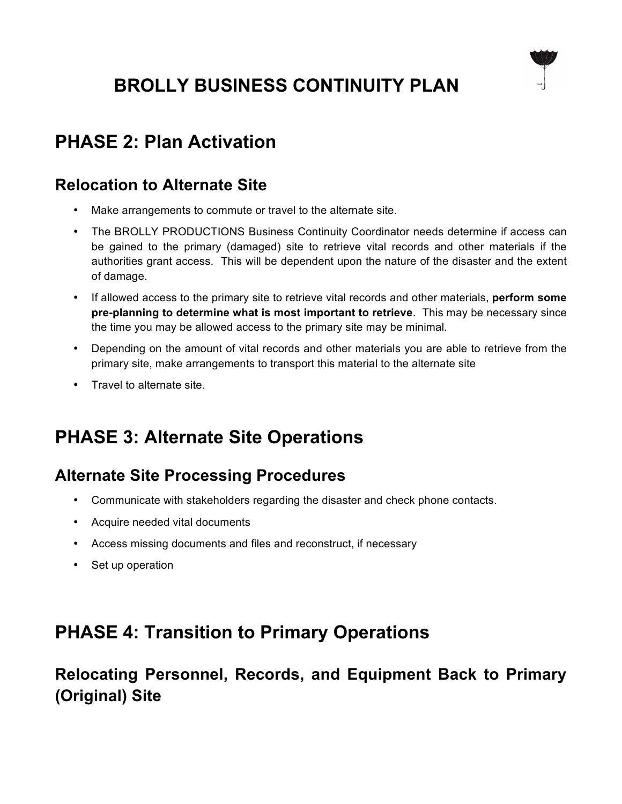

# **PHASE 2: Plan Activation**

#### **Relocation to Alternate Site**

- Make arrangements to commute or travel to the alternate site.
- The BROLLY PRODUCTIONS Business Continuity Coordinator needs determine if access can be gained to the primary (damaged) site to retrieve vital records and other materials if the authorities grant access. This will be dependent upon the nature of the disaster and the extent of damage.
- If allowed access to the primary site to retrieve vital records and other materials, **perform some pre-planning to determine what is most important to retrieve**. This may be necessary since the time you may be allowed access to the primary site may be minimal.
- Depending on the amount of vital records and other materials you are able to retrieve from the primary site, make arrangements to transport this material to the alternate site
- Travel to alternate site.

# **PHASE 3: Alternate Site Operations**

#### **Alternate Site Processing Procedures**

- Communicate with stakeholders regarding the disaster and check phone contacts.
- Acquire needed vital documents
- Access missing documents and files and reconstruct, if necessary
- Set up operation

# **PHASE 4: Transition to Primary Operations**

**Relocating Personnel, Records, and Equipment Back to Primary (Original) Site**